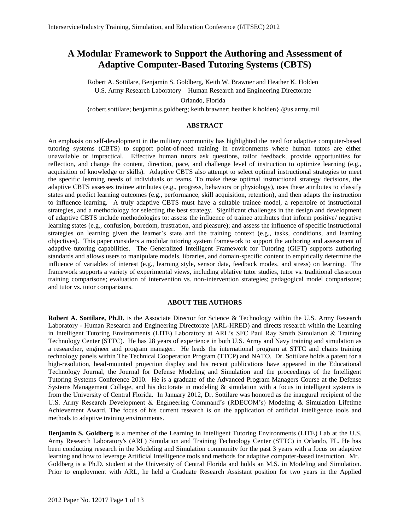# **A Modular Framework to Support the Authoring and Assessment of Adaptive Computer-Based Tutoring Systems (CBTS)**

Robert A. Sottilare, Benjamin S. Goldberg, Keith W. Brawner and Heather K. Holden U.S. Army Research Laboratory – Human Research and Engineering Directorate Orlando, Florida

{robert.sottilare; benjamin.s.goldberg; keith.brawner; heather.k.holden} @us.army.mil

## **ABSTRACT**

An emphasis on self-development in the military community has highlighted the need for adaptive computer-based tutoring systems (CBTS) to support point-of-need training in environments where human tutors are either unavailable or impractical. Effective human tutors ask questions, tailor feedback, provide opportunities for reflection, and change the content, direction, pace, and challenge level of instruction to optimize learning (e.g., acquisition of knowledge or skills). Adaptive CBTS also attempt to select optimal instructional strategies to meet the specific learning needs of individuals or teams. To make these optimal instructional strategy decisions, the adaptive CBTS assesses trainee attributes (e.g., progress, behaviors or physiology), uses these attributes to classify states and predict learning outcomes (e.g., performance, skill acquisition, retention), and then adapts the instruction to influence learning. A truly adaptive CBTS must have a suitable trainee model, a repertoire of instructional strategies, and a methodology for selecting the best strategy. Significant challenges in the design and development of adaptive CBTS include methodologies to: assess the influence of trainee attributes that inform positive/ negative learning states (e.g., confusion, boredom, frustration, and pleasure); and assess the influence of specific instructional strategies on learning given the learner's state and the training context (e.g., tasks, conditions, and learning objectives). This paper considers a modular tutoring system framework to support the authoring and assessment of adaptive tutoring capabilities. The Generalized Intelligent Framework for Tutoring (GIFT) supports authoring standards and allows users to manipulate models, libraries, and domain-specific content to empirically determine the influence of variables of interest (e.g., learning style, sensor data, feedback modes, and stress) on learning. The framework supports a variety of experimental views, including ablative tutor studies, tutor vs. traditional classroom training comparisons; evaluation of intervention vs. non-intervention strategies; pedagogical model comparisons; and tutor vs. tutor comparisons.

#### **ABOUT THE AUTHORS**

**Robert A. Sottilare, Ph.D.** is the Associate Director for Science & Technology within the U.S. Army Research Laboratory - Human Research and Engineering Directorate (ARL-HRED) and directs research within the Learning in Intelligent Tutoring Environments (LITE) Laboratory at ARL's SFC Paul Ray Smith Simulation & Training Technology Center (STTC). He has 28 years of experience in both U.S. Army and Navy training and simulation as a researcher, engineer and program manager. He leads the international program at STTC and chairs training technology panels within The Technical Cooperation Program (TTCP) and NATO. Dr. Sottilare holds a patent for a high-resolution, head-mounted projection display and his recent publications have appeared in the Educational Technology Journal, the Journal for Defense Modeling and Simulation and the proceedings of the Intelligent Tutoring Systems Conference 2010. He is a graduate of the Advanced Program Managers Course at the Defense Systems Management College, and his doctorate in modeling & simulation with a focus in intelligent systems is from the University of Central Florida. In January 2012, Dr. Sottilare was honored as the inaugural recipient of the U.S. Army Research Development & Engineering Command's (RDECOM's) Modeling & Simulation Lifetime Achievement Award. The focus of his current research is on the application of artificial intelligence tools and methods to adaptive training environments.

**Benjamin S. Goldberg** is a member of the Learning in Intelligent Tutoring Environments (LITE) Lab at the U.S. Army Research Laboratory's (ARL) Simulation and Training Technology Center (STTC) in Orlando, FL. He has been conducting research in the Modeling and Simulation community for the past 3 years with a focus on adaptive learning and how to leverage Artificial Intelligence tools and methods for adaptive computer-based instruction. Mr. Goldberg is a Ph.D. student at the University of Central Florida and holds an M.S. in Modeling and Simulation. Prior to employment with ARL, he held a Graduate Research Assistant position for two years in the Applied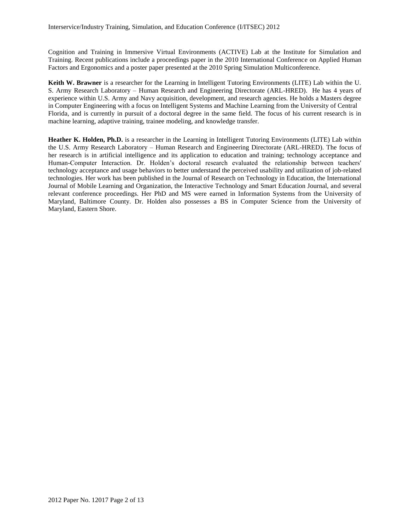Cognition and Training in Immersive Virtual Environments (ACTIVE) Lab at the Institute for Simulation and Training. Recent publications include a proceedings paper in the 2010 International Conference on Applied Human Factors and Ergonomics and a poster paper presented at the 2010 Spring Simulation Multiconference.

**Keith W. Brawner** is a researcher for the Learning in Intelligent Tutoring Environments (LITE) Lab within the U. S. Army Research Laboratory – Human Research and Engineering Directorate (ARL-HRED). He has 4 years of experience within U.S. Army and Navy acquisition, development, and research agencies. He holds a Masters degree in Computer Engineering with a focus on Intelligent Systems and Machine Learning from the University of Central Florida, and is currently in pursuit of a doctoral degree in the same field. The focus of his current research is in machine learning, adaptive training, trainee modeling, and knowledge transfer.

**Heather K. Holden, Ph.D.** is a researcher in the Learning in Intelligent Tutoring Environments (LITE) Lab within the U.S. Army Research Laboratory – Human Research and Engineering Directorate (ARL-HRED). The focus of her research is in artificial intelligence and its application to education and training; technology acceptance and Human-Computer Interaction. Dr. Holden's doctoral research evaluated the relationship between teachers' technology acceptance and usage behaviors to better understand the perceived usability and utilization of job-related technologies. Her work has been published in the Journal of Research on Technology in Education, the International Journal of Mobile Learning and Organization, the Interactive Technology and Smart Education Journal, and several relevant conference proceedings. Her PhD and MS were earned in Information Systems from the University of Maryland, Baltimore County. Dr. Holden also possesses a BS in Computer Science from the University of Maryland, Eastern Shore.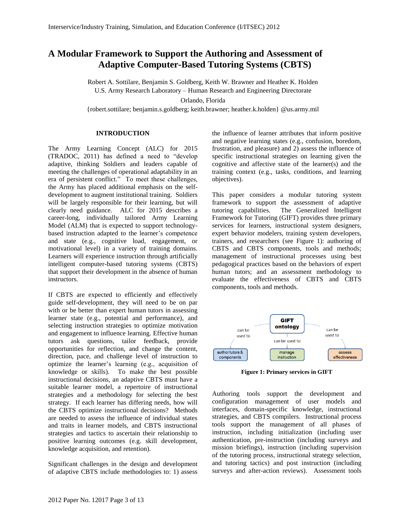# **A Modular Framework to Support the Authoring and Assessment of Adaptive Computer-Based Tutoring Systems (CBTS)**

Robert A. Sottilare, Benjamin S. Goldberg, Keith W. Brawner and Heather K. Holden U.S. Army Research Laboratory – Human Research and Engineering Directorate Orlando, Florida

{robert.sottilare; benjamin.s.goldberg; keith.brawner; heather.k.holden} @us.army.mil

## **INTRODUCTION**

The Army Learning Concept (ALC) for 2015 (TRADOC, 2011) has defined a need to "develop adaptive, thinking Soldiers and leaders capable of meeting the challenges of operational adaptability in an era of persistent conflict." To meet these challenges, the Army has placed additional emphasis on the selfdevelopment to augment institutional training. Soldiers will be largely responsible for their learning, but will clearly need guidance. ALC for 2015 describes a career-long, individually tailored Army Learning Model (ALM) that is expected to support technologybased instruction adapted to the learner's competence and state (e.g., cognitive load, engagement, or motivational level) in a variety of training domains. Learners will experience instruction through artificially intelligent computer-based tutoring systems (CBTS) that support their development in the absence of human instructors.

If CBTS are expected to efficiently and effectively guide self-development, they will need to be on par with or be better than expert human tutors in assessing learner state (e.g., potential and performance), and selecting instruction strategies to optimize motivation and engagement to influence learning. Effective human tutors ask questions, tailor feedback, provide opportunities for reflection, and change the content, direction, pace, and challenge level of instruction to optimize the learner's learning (e.g., acquisition of knowledge or skills). To make the best possible instructional decisions, an adaptive CBTS must have a suitable learner model, a repertoire of instructional strategies and a methodology for selecting the best strategy. If each learner has differing needs, how will the CBTS optimize instructional decisions? Methods are needed to assess the influence of individual states and traits in learner models, and CBTS instructional strategies and tactics to ascertain their relationship to positive learning outcomes (e.g. skill development, knowledge acquisition, and retention).

Significant challenges in the design and development of adaptive CBTS include methodologies to: 1) assess

the influence of learner attributes that inform positive and negative learning states (e.g., confusion, boredom, frustration, and pleasure) and 2) assess the influence of specific instructional strategies on learning given the cognitive and affective state of the learner(s) and the training context (e.g., tasks, conditions, and learning objectives).

This paper considers a modular tutoring system framework to support the assessment of adaptive tutoring capabilities. The Generalized Intelligent Framework for Tutoring (GIFT) provides three primary services for learners, instructional system designers, expert behavior modelers, training system developers, trainers, and researchers (see [Figure 1\)](#page-2-0): authoring of CBTS and CBTS components, tools and methods; management of instructional processes using best pedagogical practices based on the behaviors of expert human tutors; and an assessment methodology to evaluate the effectiveness of CBTS and CBTS components, tools and methods.



**Figure 1: Primary services in GIFT**

<span id="page-2-0"></span>Authoring tools support the development and configuration management of user models and interfaces, domain-specific knowledge, instructional strategies, and CBTS compilers. Instructional process tools support the management of all phases of instruction, including initialization (including user authentication, pre-instruction (including surveys and mission briefings), instruction (including supervision of the tutoring process, instructional strategy selection, and tutoring tactics) and post instruction (including surveys and after-action reviews). Assessment tools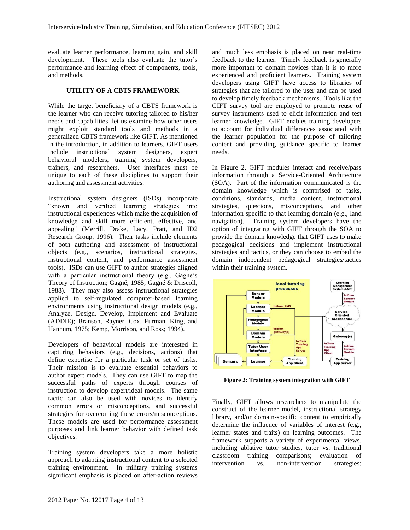evaluate learner performance, learning gain, and skill development. These tools also evaluate the tutor's performance and learning effect of components, tools, and methods.

#### **UTILITY OF A CBTS FRAMEWORK**

While the target beneficiary of a CBTS framework is the learner who can receive tutoring tailored to his/her needs and capabilities, let us examine how other users might exploit standard tools and methods in a generalized CBTS framework like GIFT. As mentioned in the introduction, in addition to learners, GIFT users include instructional system designers, expert behavioral modelers, training system developers, trainers, and researchers. User interfaces must be unique to each of these disciplines to support their authoring and assessment activities.

Instructional system designers (ISDs) incorporate "known and verified learning strategies into instructional experiences which make the acquisition of knowledge and skill more efficient, effective, and appealing" (Merrill, Drake, Lacy, Pratt, and ID2 Research Group, 1996). Their tasks include elements of both authoring and assessment of instructional objects (e.g., scenarios, instructional strategies, instructional content, and performance assessment tools). ISDs can use GIFT to author strategies aligned with a particular instructional theory (e.g., Gagne's Theory of Instruction; Gagné, 1985; Gagné & Driscoll, 1988). They may also assess instructional strategies applied to self-regulated computer-based learning environments using instructional design models (e.g., Analyze, Design, Develop, Implement and Evaluate (ADDIE); Branson, Rayner, Cox, Furman, King, and Hannum, 1975; Kemp, Morrison, and Ross; 1994).

Developers of behavioral models are interested in capturing behaviors (e.g., decisions, actions) that define expertise for a particular task or set of tasks. Their mission is to evaluate essential behaviors to author expert models. They can use GIFT to map the successful paths of experts through courses of instruction to develop expert/ideal models. The same tactic can also be used with novices to identify common errors or misconceptions, and successful strategies for overcoming these errors/misconceptions. These models are used for performance assessment purposes and link learner behavior with defined task objectives.

Training system developers take a more holistic approach to adapting instructional content to a selected training environment. In military training systems significant emphasis is placed on after-action reviews and much less emphasis is placed on near real-time feedback to the learner. Timely feedback is generally more important to domain novices than it is to more experienced and proficient learners. Training system developers using GIFT have access to libraries of strategies that are tailored to the user and can be used to develop timely feedback mechanisms. Tools like the GIFT survey tool are employed to promote reuse of survey instruments used to elicit information and test learner knowledge. GIFT enables training developers to account for individual differences associated with the learner population for the purpose of tailoring content and providing guidance specific to learner needs.

In [Figure 2,](#page-3-0) GIFT modules interact and receive/pass information through a Service-Oriented Architecture (SOA). Part of the information communicated is the domain knowledge which is comprised of tasks, conditions, standards, media content, instructional strategies, questions, misconceptions, and other information specific to that learning domain (e.g., land navigation). Training system developers have the option of integrating with GIFT through the SOA to provide the domain knowledge that GIFT uses to make pedagogical decisions and implement instructional strategies and tactics, or they can choose to embed the domain independent pedagogical strategies/tactics within their training system.



<span id="page-3-0"></span>**Figure 2: Training system integration with GIFT**

Finally, GIFT allows researchers to manipulate the construct of the learner model, instructional strategy library, and/or domain-specific content to empirically determine the influence of variables of interest (e.g., learner states and traits) on learning outcomes. The framework supports a variety of experimental views, including ablative tutor studies, tutor vs. traditional classroom training comparisons; evaluation of intervention vs. non-intervention strategies;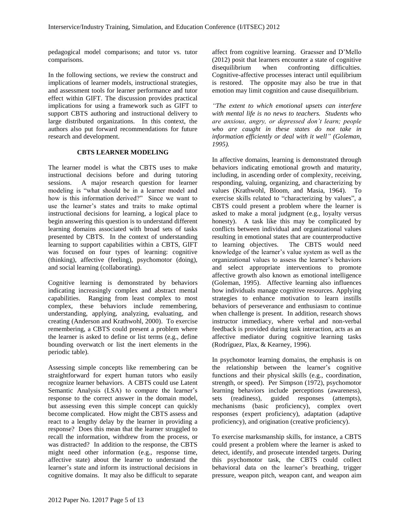pedagogical model comparisons; and tutor vs. tutor comparisons.

In the following sections, we review the construct and implications of learner models, instructional strategies, and assessment tools for learner performance and tutor effect within GIFT. The discussion provides practical implications for using a framework such as GIFT to support CBTS authoring and instructional delivery to large distributed organizations. In this context, the authors also put forward recommendations for future research and development.

### **CBTS LEARNER MODELING**

The learner model is what the CBTS uses to make instructional decisions before and during tutoring sessions. A major research question for learner modeling is "what should be in a learner model and how is this information derived?" Since we want to use the learner's states and traits to make optimal instructional decisions for learning, a logical place to begin answering this question is to understand different learning domains associated with broad sets of tasks presented by CBTS. In the context of understanding learning to support capabilities within a CBTS, GIFT was focused on four types of learning: cognitive (thinking), affective (feeling), psychomotor (doing), and social learning (collaborating).

Cognitive learning is demonstrated by behaviors indicating increasingly complex and abstract mental capabilities. Ranging from least complex to most complex, these behaviors include remembering, understanding, applying, analyzing, evaluating, and creating (Anderson and Krathwohl, 2000). To exercise remembering, a CBTS could present a problem where the learner is asked to define or list terms (e.g., define bounding overwatch or list the inert elements in the periodic table).

Assessing simple concepts like remembering can be straightforward for expert human tutors who easily recognize learner behaviors. A CBTS could use Latent Semantic Analysis (LSA) to compare the learner's response to the correct answer in the domain model, but assessing even this simple concept can quickly become complicated. How might the CBTS assess and react to a lengthy delay by the learner in providing a response? Does this mean that the learner struggled to recall the information, withdrew from the process, or was distracted? In addition to the response, the CBTS might need other information (e.g., response time, affective state) about the learner to understand the learner's state and inform its instructional decisions in cognitive domains. It may also be difficult to separate affect from cognitive learning. Graesser and D'Mello (2012) posit that learners encounter a state of cognitive disequilibrium when confronting difficulties. Cognitive-affective processes interact until equilibrium is restored. The opposite may also be true in that emotion may limit cognition and cause disequilibrium.

*"The extent to which emotional upsets can interfere with mental life is no news to teachers. Students who are anxious, angry, or depressed don't learn; people who are caught in these states do not take in information efficiently or deal with it well" (Goleman, 1995).* 

In affective domains, learning is demonstrated through behaviors indicating emotional growth and maturity, including, in ascending order of complexity, receiving, responding, valuing, organizing, and characterizing by values (Krathwohl, Bloom, and Masia, 1964). To exercise skills related to "characterizing by values", a CBTS could present a problem where the learner is asked to make a moral judgment (e.g., loyalty versus honesty). A task like this may be complicated by conflicts between individual and organizational values resulting in emotional states that are counterproductive to learning objectives. The CBTS would need knowledge of the learner's value system as well as the organizational values to assess the learner's behaviors and select appropriate interventions to promote affective growth also known as emotional intelligence (Goleman, 1995). Affective learning also influences how individuals manage cognitive resources. Applying strategies to enhance motivation to learn instills behaviors of perseverance and enthusiasm to continue when challenge is present. In addition, research shows instructor immediacy, where verbal and non-verbal feedback is provided during task interaction, acts as an affective mediator during cognitive learning tasks (Rodríguez, Plax, & Kearney, 1996).

In psychomotor learning domains, the emphasis is on the relationship between the learner's cognitive functions and their physical skills (e.g., coordination, strength, or speed). Per Simpson (1972), psychomotor learning behaviors include perceptions (awareness), sets (readiness), guided responses (attempts), mechanisms (basic proficiency), complex overt responses (expert proficiency), adaptation (adaptive proficiency), and origination (creative proficiency).

To exercise marksmanship skills, for instance, a CBTS could present a problem where the learner is asked to detect, identify, and prosecute intended targets. During this psychomotor task, the CBTS could collect behavioral data on the learner's breathing, trigger pressure, weapon pitch, weapon cant, and weapon aim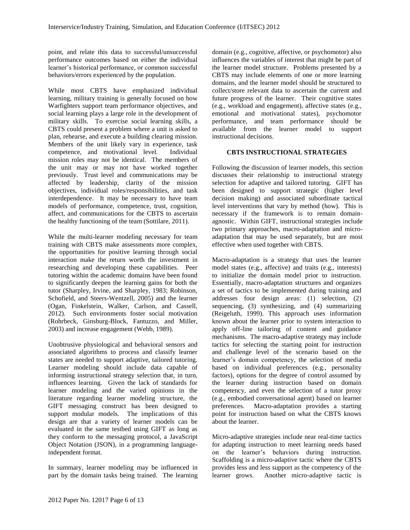point, and relate this data to successful/unsuccessful performance outcomes based on either the individual learner's historical performance, or common successful behaviors/errors experienced by the population.

While most CBTS have emphasized individual learning, military training is generally focused on how Warfighters support team performance objectives, and social learning plays a large role in the development of military skills. To exercise social learning skills, a CBTS could present a problem where a unit is asked to plan, rehearse, and execute a building clearing mission. Members of the unit likely vary in experience, task competence, and motivational level. Individual mission roles may not be identical. The members of the unit may or may not have worked together previously. Trust level and communications may be affected by leadership, clarity of the mission objectives, individual roles/responsibilities, and task interdependence. It may be necessary to have team models of performance, competence, trust, cognition, affect, and communications for the CBTS to ascertain the healthy functioning of the team (Sottilare, 2011).

While the multi-learner modeling necessary for team training with CBTS make assessments more complex, the opportunities for positive learning through social interaction make the return worth the investment in researching and developing these capabilities. Peer tutoring within the academic domains have been found to significantly deepen the learning gains for both the tutor (Sharpley, Irvine, and Sharpley, 1983; Robinson, Schofield, and Steers-Wentzell, 2005) and the learner (Ogan, Finkelstein, Walker, Carlson, and Cassell, 2012). Such environments foster social motivation (Rohrbeck, Ginsburg-Block, Fantuzzo, and Miller, 2003) and increase engagement (Webb, 1989).

Unobtrusive physiological and behavioral sensors and associated algorithms to process and classify learner states are needed to support adaptive, tailored tutoring. Learner modeling should include data capable of informing instructional strategy selection that, in turn, influences learning. Given the lack of standards for learner modeling and the varied opinions in the literature regarding learner modeling structure, the GIFT messaging construct has been designed to support modular models. The implications of this design are that a variety of learner models can be evaluated in the same testbed using GIFT as long as they conform to the messaging protocol, a JavaScript Object Notation (JSON), in a programming languageindependent format.

In summary, learner modeling may be influenced in part by the domain tasks being trained. The learning domain (e.g., cognitive, affective, or psychomotor) also influences the variables of interest that might be part of the learner model structure. Problems presented by a CBTS may include elements of one or more learning domains, and the learner model should be structured to collect/store relevant data to ascertain the current and future progress of the learner. Their cognitive states (e.g., workload and engagement), affective states (e.g., emotional and motivational states), psychomotor performance, and team performance should be available from the learner model to support instructional decisions.

### **CBTS INSTRUCTIONAL STRATEGIES**

Following the discussion of learner models, this section discusses their relationship to instructional strategy selection for adaptive and tailored tutoring. GIFT has been designed to support strategic (higher level decision making) and associated subordinate tactical level interventions that vary by method (how). This is necessary if the framework is to remain domainagnostic. Within GIFT, instructional strategies include two primary approaches, macro-adaptation and microadaptation that may be used separately, but are most effective when used together with CBTS.

Macro-adaptation is a strategy that uses the learner model states (e.g., affective) and traits (e.g., interests) to initialize the domain model prior to instruction. Essentially, macro-adaptation structures and organizes a set of tactics to be implemented during training and addresses four design areas: (1) selection, (2) sequencing, (3) synthesizing, and (4) summarizing (Reigeluth, 1999). This approach uses information known about the learner prior to system interaction to apply off-line tailoring of content and guidance mechanisms. The macro-adaptive strategy may include tactics for selecting the starting point for instruction and challenge level of the scenario based on the learner's domain competency, the selection of media based on individual preferences (e.g., personality factors), options for the degree of control assumed by the learner during instruction based on domain competency, and even the selection of a tutor proxy (e.g., embodied conversational agent) based on learner preferences. Macro-adaptation provides a starting point for instruction based on what the CBTS knows about the learner.

Micro-adaptive strategies include near real-time tactics for adapting instruction to meet learning needs based on the learner's behaviors during instruction. Scaffolding is a micro-adaptive tactic where the CBTS provides less and less support as the competency of the learner grows. Another micro-adaptive tactic is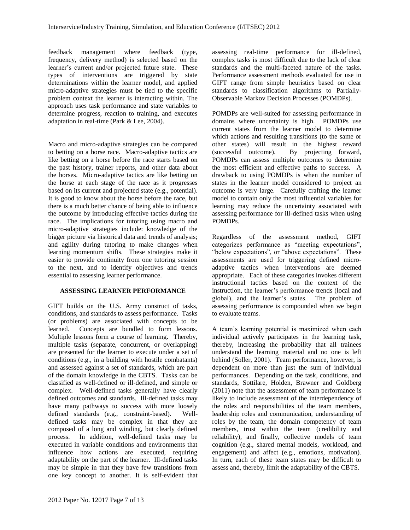feedback management where feedback (type, frequency, delivery method) is selected based on the learner's current and/or projected future state. These types of interventions are triggered by state determinations within the learner model, and applied micro-adaptive strategies must be tied to the specific problem context the learner is interacting within. The approach uses task performance and state variables to determine progress, reaction to training, and executes adaptation in real-time (Park & Lee, 2004).

Macro and micro-adaptive strategies can be compared to betting on a horse race. Macro-adaptive tactics are like betting on a horse before the race starts based on the past history, trainer reports, and other data about the horses. Micro-adaptive tactics are like betting on the horse at each stage of the race as it progresses based on its current and projected state (e.g., potential). It is good to know about the horse before the race, but there is a much better chance of being able to influence the outcome by introducing effective tactics during the race. The implications for tutoring using macro and micro-adaptive strategies include: knowledge of the bigger picture via historical data and trends of analysis; and agility during tutoring to make changes when learning momentum shifts. These strategies make it easier to provide continuity from one tutoring session to the next, and to identify objectives and trends essential to assessing learner performance.

# **ASSESSING LEARNER PERFORMANCE**

GIFT builds on the U.S. Army construct of tasks, conditions, and standards to assess performance. Tasks (or problems) are associated with concepts to be learned. Concepts are bundled to form lessons. Multiple lessons form a course of learning. Thereby, multiple tasks (separate, concurrent, or overlapping) are presented for the learner to execute under a set of conditions (e.g., in a building with hostile combatants) and assessed against a set of standards, which are part of the domain knowledge in the CBTS. Tasks can be classified as well-defined or ill-defined, and simple or complex. Well-defined tasks generally have clearly defined outcomes and standards. Ill-defined tasks may have many pathways to success with more loosely defined standards (e.g., constraint-based). Welldefined tasks may be complex in that they are composed of a long and winding, but clearly defined process. In addition, well-defined tasks may be executed in variable conditions and environments that influence how actions are executed, requiring adaptability on the part of the learner. Ill-defined tasks may be simple in that they have few transitions from one key concept to another. It is self-evident that assessing real-time performance for ill-defined, complex tasks is most difficult due to the lack of clear standards and the multi-faceted nature of the tasks. Performance assessment methods evaluated for use in GIFT range from simple heuristics based on clear standards to classification algorithms to Partially-Observable Markov Decision Processes (POMDPs).

POMDPs are well-suited for assessing performance in domains where uncertainty is high. POMDPs use current states from the learner model to determine which actions and resulting transitions (to the same or other states) will result in the highest reward (successful outcome). By projecting forward, POMDPs can assess multiple outcomes to determine the most efficient and effective paths to success. A drawback to using POMDPs is when the number of states in the learner model considered to project an outcome is very large. Carefully crafting the learner model to contain only the most influential variables for learning may reduce the uncertainty associated with assessing performance for ill-defined tasks when using POMDPs.

Regardless of the assessment method, GIFT categorizes performance as "meeting expectations", "below expectations", or "above expectations". These assessments are used for triggering defined microadaptive tactics when interventions are deemed appropriate. Each of these categories invokes different instructional tactics based on the context of the instruction, the learner's performance trends (local and global), and the learner's states. The problem of assessing performance is compounded when we begin to evaluate teams.

A team's learning potential is maximized when each individual actively participates in the learning task, thereby, increasing the probability that all trainees understand the learning material and no one is left behind (Soller, 2001). Team performance, however, is dependent on more than just the sum of individual performances. Depending on the task, conditions, and standards, Sottilare, Holden, Brawner and Goldberg (2011) note that the assessment of team performance is likely to include assessment of the interdependency of the roles and responsibilities of the team members, leadership roles and communication, understanding of roles by the team, the domain competency of team members, trust within the team (credibility and reliability), and finally, collective models of team cognition (e.g., shared mental models, workload, and engagement) and affect (e.g., emotions, motivation). In turn, each of these team states may be difficult to assess and, thereby, limit the adaptability of the CBTS.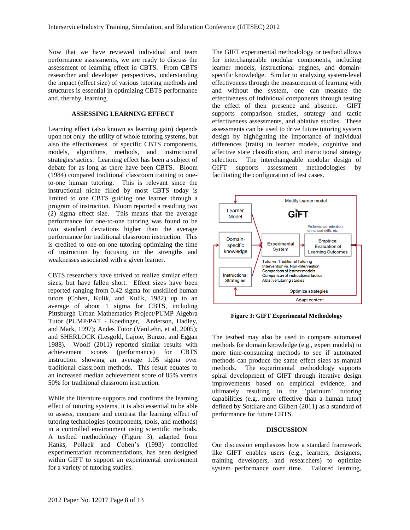Now that we have reviewed individual and team performance assessments, we are ready to discuss the assessment of learning effect in CBTS. From CBTS researcher and developer perspectives, understanding the impact (effect size) of various tutoring methods and structures is essential in optimizing CBTS performance and, thereby, learning.

#### **ASSESSING LEARNING EFFECT**

Learning effect (also known as learning gain) depends upon not only the utility of whole tutoring systems, but also the effectiveness of specific CBTS components, models, algorithms, methods, and instructional strategies/tactics. Learning effect has been a subject of debate for as long as there have been CBTS. Bloom (1984) compared traditional classroom training to oneto-one human tutoring. This is relevant since the instructional niche filled by most CBTS today is limited to one CBTS guiding one learner through a program of instruction. Bloom reported a resulting two (2) sigma effect size. This means that the average performance for one-to-one tutoring was found to be two standard deviations higher than the average performance for traditional classroom instruction. This is credited to one-on-one tutoring optimizing the time of instruction by focusing on the strengths and weaknesses associated with a given learner.

CBTS researchers have strived to realize similar effect sizes, but have fallen short. Effect sizes have been reported ranging from 0.42 sigma for unskilled human tutors (Cohen, Kulik, and Kulik, 1982) up to an average of about 1 sigma for CBTS, including Pittsburgh Urban Mathematics Project/PUMP Algebra Tutor (PUMP/PAT - Koedinger, Anderson, Hadley, and Mark, 1997); Andes Tutor (VanLehn, et al, 2005); and SHERLOCK (Lesgold, Lajoie, Bunzo, and Eggan 1988). Woolf (2011) reported similar results with achievement scores (performance) for CBTS instruction showing an average 1.05 sigma over traditional classroom methods. This result equates to an increased median achievement score of 85% versus 50% for traditional classroom instruction.

While the literature supports and confirms the learning effect of tutoring systems, it is also essential to be able to assess, compare and contrast the learning effect of tutoring technologies (components, tools, and methods) in a controlled environment using scientific methods. A testbed methodology [\(Figure 3\)](#page-7-0), adapted from Hanks, Pollack and Cohen's (1993) controlled experimentation recommendations, has been designed within GIFT to support an experimental environment for a variety of tutoring studies.

The GIFT experimental methodology or testbed allows for interchangeable modular components, including learner models, instructional engines, and domainspecific knowledge. Similar to analyzing system-level effectiveness through the measurement of learning with and without the system, one can measure the effectiveness of individual components through testing the effect of their presence and absence. GIFT supports comparison studies, strategy and tactic effectiveness assessments, and ablative studies. These assessments can be used to drive future tutoring system design by highlighting the importance of individual differences (traits) in learner models, cognitive and affective state classification, and instructional strategy selection. The interchangeable modular design of GIFT supports assessment methodologies by facilitating the configuration of test cases.



<span id="page-7-0"></span>**Figure 3: GIFT Experimental Methodology**

The testbed may also be used to compare automated methods for domain knowledge (e.g., expert models) to more time-consuming methods to see if automated methods can produce the same effect sizes as manual methods. The experimental methodology supports spiral development of GIFT through iterative design improvements based on empirical evidence, and ultimately resulting in the 'platinum' tutoring capabilities (e.g., more effective than a human tutor) defined by Sottilare and Gilbert (2011) as a standard of performance for future CBTS.

#### **DISCUSSION**

Our discussion emphasizes how a standard framework like GIFT enables users (e.g., learners, designers, training developers, and researchers) to optimize system performance over time. Tailored learning,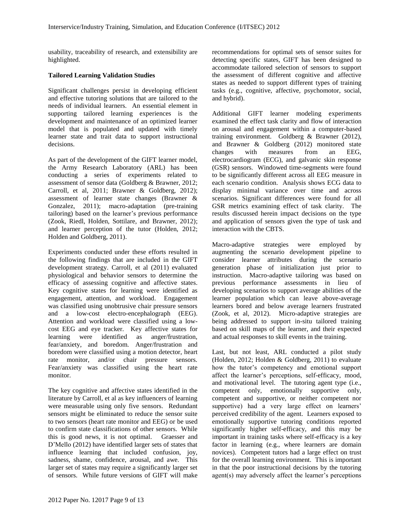usability, traceability of research, and extensibility are highlighted.

### **Tailored Learning Validation Studies**

Significant challenges persist in developing efficient and effective tutoring solutions that are tailored to the needs of individual learners. An essential element in supporting tailored learning experiences is the development and maintenance of an optimized learner model that is populated and updated with timely learner state and trait data to support instructional decisions.

As part of the development of the GIFT learner model, the Army Research Laboratory (ARL) has been conducting a series of experiments related to assessment of sensor data (Goldberg & Brawner, 2012; Carroll, et al, 2011; Brawner & Goldberg, 2012); assessment of learner state changes (Brawner & Gonzalez, 2011); macro-adaptation (pre-training tailoring) based on the learner's previous performance (Zook, Riedl, Holden, Sottilare, and Brawner, 2012); and learner perception of the tutor (Holden, 2012; Holden and Goldberg, 2011).

Experiments conducted under these efforts resulted in the following findings that are included in the GIFT development strategy. Carroll, et al (2011) evaluated physiological and behavior sensors to determine the efficacy of assessing cognitive and affective states. Key cognitive states for learning were identified as engagement, attention, and workload. Engagement was classified using unobtrusive chair pressure sensors and a low-cost electro-encephalograph (EEG). Attention and workload were classified using a lowcost EEG and eye tracker. Key affective states for learning were identified as anger/frustration, fear/anxiety, and boredom. Anger/frustration and boredom were classified using a motion detector, heart rate monitor, and/or chair pressure sensors. Fear/anxiety was classified using the heart rate monitor.

The key cognitive and affective states identified in the literature by Carroll, et al as key influencers of learning were measurable using only five sensors. Redundant sensors might be eliminated to reduce the sensor suite to two sensors (heart rate monitor and EEG) or be used to confirm state classifications of other sensors. While this is good news, it is not optimal. Graesser and D'Mello (2012) have identified larger sets of states that influence learning that included confusion, joy, sadness, shame, confidence, arousal, and awe. This larger set of states may require a significantly larger set of sensors. While future versions of GIFT will make recommendations for optimal sets of sensor suites for detecting specific states, GIFT has been designed to accommodate tailored selection of sensors to support the assessment of different cognitive and affective states as needed to support different types of training tasks (e.g., cognitive, affective, psychomotor, social, and hybrid).

Additional GIFT learner modeling experiments examined the effect task clarity and flow of interaction on arousal and engagement within a computer-based training environment. Goldberg & Brawner (2012), and Brawner & Goldberg (2012) monitored state changes with measures from an EEG, electrocardiogram (ECG), and galvanic skin response (GSR) sensors. Windowed time-segments were found to be significantly different across all EEG measure in each scenario condition. Analysis shows ECG data to display minimal variance over time and across scenarios. Significant differences were found for all GSR metrics examining effect of task clarity. The results discussed herein impact decisions on the type and application of sensors given the type of task and interaction with the CBTS.

Macro-adaptive strategies were employed by augmenting the scenario development pipeline to consider learner attributes during the scenario generation phase of initialization just prior to instruction. Macro-adaptive tailoring was based on previous performance assessments in lieu of developing scenarios to support average abilities of the learner population which can leave above-average learners bored and below average learners frustrated (Zook, et al, 2012). Micro-adaptive strategies are being addressed to support in-situ tailored training based on skill maps of the learner, and their expected and actual responses to skill events in the training.

Last, but not least, ARL conducted a pilot study (Holden, 2012; Holden & Goldberg, 2011) to evaluate how the tutor's competency and emotional support affect the learner's perceptions, self-efficacy, mood, and motivational level. The tutoring agent type (i.e., competent only, emotionally supportive only, competent and supportive, or neither competent nor supportive) had a very large effect on learners' perceived credibility of the agent. Learners exposed to emotionally supportive tutoring conditions reported significantly higher self-efficacy, and this may be important in training tasks where self-efficacy is a key factor in learning (e.g., where learners are domain novices). Competent tutors had a large effect on trust for the overall learning environment. This is important in that the poor instructional decisions by the tutoring agent(s) may adversely affect the learner's perceptions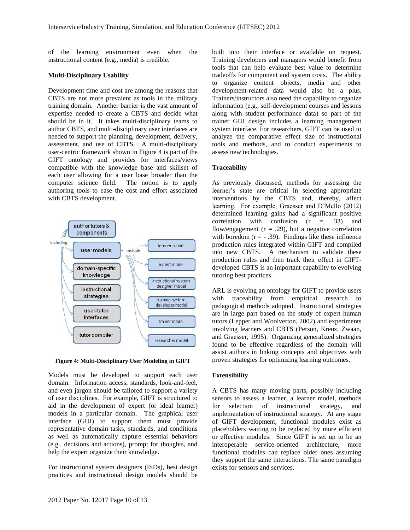of the learning environment even when the instructional content (e.g., media) is credible.

#### **Multi-Disciplinary Usability**

Development time and cost are among the reasons that CBTS are not more prevalent as tools in the military training domain. Another barrier is the vast amount of expertise needed to create a CBTS and decide what should be in it. It takes multi-disciplinary teams to author CBTS, and multi-disciplinary user interfaces are needed to support the planning, development, delivery, assessment, and use of CBTS. A multi-disciplinary user-centric framework shown in [Figure 4](#page-9-0) is part of the GIFT ontology and provides for interfaces/views compatible with the knowledge base and skillset of each user allowing for a user base broader than the computer science field. The notion is to apply authoring tools to ease the cost and effort associated with CBTS development.



<span id="page-9-0"></span>**Figure 4: Multi-Disciplinary User Modeling in GIFT**

Models must be developed to support each user domain. Information access, standards, look-and-feel, and even jargon should be tailored to support a variety of user disciplines. For example, GIFT is structured to aid in the development of expert (or ideal learner) models in a particular domain. The graphical user interface (GUI) to support them must provide representative domain tasks, standards, and conditions as well as automatically capture essential behaviors (e.g., decisions and actions), prompt for thoughts, and help the expert organize their knowledge.

For instructional system designers (ISDs), best design practices and instructional design models should be

built into their interface or available on request. Training developers and managers would benefit from tools that can help evaluate best value to determine tradeoffs for component and system costs. The ability to organize content objects, media and other development-related data would also be a plus. Trainers/instructors also need the capability to organize information (e.g., self-development courses and lessons along with student performance data) so part of the trainer GUI design includes a learning management system interface. For researchers, GIFT can be used to analyze the comparative effect size of instructional tools and methods, and to conduct experiments to assess new technologies.

#### **Traceability**

As previously discussed, methods for assessing the learner's state are critical in selecting appropriate interventions by the CBTS and, thereby, affect learning. For example, Graesser and D'Mello (2012) determined learning gains had a significant positive correlation with confusion  $(r = .33)$  and flow/engagement  $(r = .29)$ , but a negative correlation with boredom  $(r = -0.39)$ . Findings like these influence production rules integrated within GIFT and compiled into new CBTS. A mechanism to validate these production rules and then track their effect in GIFTdeveloped CBTS is an important capability to evolving tutoring best practices.

ARL is evolving an ontology for GIFT to provide users with traceability from empirical research to pedagogical methods adopted. Instructional strategies are in large part based on the study of expert human tutors (Lepper and Woolverton, 2002) and experiments involving learners and CBTS (Person, Kreuz, Zwaan, and Graesser, 1995). Organizing generalized strategies found to be effective regardless of the domain will assist authors in linking concepts and objectives with proven strategies for optimizing learning outcomes.

#### **Extensibility**

A CBTS has many moving parts, possibly including sensors to assess a learner, a learner model, methods for selection of instructional strategy, and implementation of instructional strategy. At any stage of GIFT development, functional modules exist as placeholders waiting to be replaced by more efficient or effective modules. Since GIFT is set up to be an interoperable service-oriented architecture, more functional modules can replace older ones assuming they support the same interactions. The same paradigm exists for sensors and services.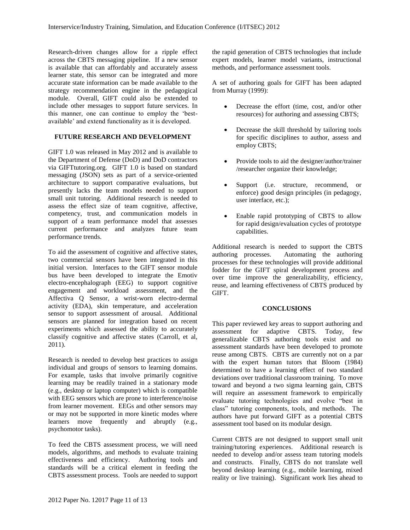Research-driven changes allow for a ripple effect across the CBTS messaging pipeline. If a new sensor is available that can affordably and accurately assess learner state, this sensor can be integrated and more accurate state information can be made available to the strategy recommendation engine in the pedagogical module. Overall, GIFT could also be extended to include other messages to support future services. In this manner, one can continue to employ the 'bestavailable' and extend functionality as it is developed.

# **FUTURE RESEARCH AND DEVELOPMENT**

GIFT 1.0 was released in May 2012 and is available to the Department of Defense (DoD) and DoD contractors via GIFTtutoring.org. GIFT 1.0 is based on standard messaging (JSON) sets as part of a service-oriented architecture to support comparative evaluations, but presently lacks the team models needed to support small unit tutoring. Additional research is needed to assess the effect size of team cognitive, affective, competency, trust, and communication models in support of a team performance model that assesses current performance and analyzes future team performance trends.

To aid the assessment of cognitive and affective states, two commercial sensors have been integrated in this initial version. Interfaces to the GIFT sensor module bus have been developed to integrate the Emotiv electro-encephalograph (EEG) to support cognitive engagement and workload assessment, and the Affectiva Q Sensor, a wrist-worn electro-dermal activity (EDA), skin temperature, and acceleration sensor to support assessment of arousal. Additional sensors are planned for integration based on recent experiments which assessed the ability to accurately classify cognitive and affective states (Carroll, et al, 2011).

Research is needed to develop best practices to assign individual and groups of sensors to learning domains. For example, tasks that involve primarily cognitive learning may be readily trained in a stationary mode (e.g., desktop or laptop computer) which is compatible with EEG sensors which are prone to interference/noise from learner movement. EEGs and other sensors may or may not be supported in more kinetic modes where learners move frequently and abruptly (e.g., psychomotor tasks).

To feed the CBTS assessment process, we will need models, algorithms, and methods to evaluate training effectiveness and efficiency. Authoring tools and standards will be a critical element in feeding the CBTS assessment process. Tools are needed to support the rapid generation of CBTS technologies that include expert models, learner model variants, instructional methods, and performance assessment tools.

A set of authoring goals for GIFT has been adapted from Murray (1999):

- Decrease the effort (time, cost, and/or other resources) for authoring and assessing CBTS;
- Decrease the skill threshold by tailoring tools for specific disciplines to author, assess and employ CBTS;
- Provide tools to aid the designer/author/trainer /researcher organize their knowledge;
- Support (i.e. structure, recommend, or enforce) good design principles (in pedagogy, user interface, etc.);
- Enable rapid prototyping of CBTS to allow for rapid design/evaluation cycles of prototype capabilities.

Additional research is needed to support the CBTS authoring processes. Automating the authoring processes for these technologies will provide additional fodder for the GIFT spiral development process and over time improve the generalizability, efficiency, reuse, and learning effectiveness of CBTS produced by GIFT.

#### **CONCLUSIONS**

This paper reviewed key areas to support authoring and assessment for adaptive CBTS. Today, few generalizable CBTS authoring tools exist and no assessment standards have been developed to promote reuse among CBTS. CBTS are currently not on a par with the expert human tutors that Bloom (1984) determined to have a learning effect of two standard deviations over traditional classroom training. To move toward and beyond a two sigma learning gain, CBTS will require an assessment framework to empirically evaluate tutoring technologies and evolve "best in class" tutoring components, tools, and methods. The authors have put forward GIFT as a potential CBTS assessment tool based on its modular design.

Current CBTS are not designed to support small unit training/tutoring experiences. Additional research is needed to develop and/or assess team tutoring models and constructs. Finally, CBTS do not translate well beyond desktop learning (e.g., mobile learning, mixed reality or live training). Significant work lies ahead to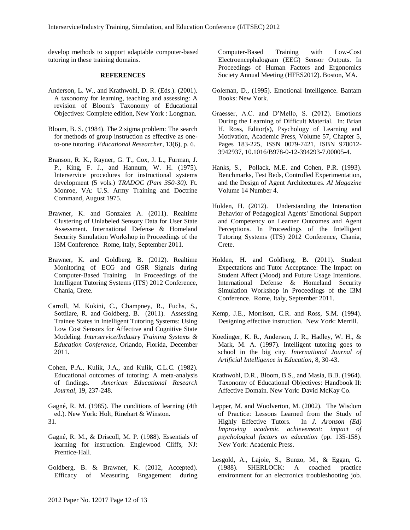develop methods to support adaptable computer-based tutoring in these training domains.

#### **REFERENCES**

- Anderson, L. W., and Krathwohl, D. R. (Eds.). (2001). A taxonomy for learning, teaching and assessing: A revision of Bloom's Taxonomy of Educational Objectives: Complete edition, New York : Longman.
- Bloom, B. S. (1984). The 2 sigma problem: The search for methods of group instruction as effective as oneto-one tutoring. *Educational Researcher*, 13(6), p. 6.
- Branson, R. K., Rayner, G. T., Cox, J. L., Furman, J. P., King, F. J., and Hannum, W. H. (1975). Interservice procedures for instructional systems development (5 vols.) *TRADOC (Pam 350-30)*. Ft. Monroe, VA: U.S. Army Training and Doctrine Command, August 1975.
- Brawner, K. and Gonzalez A. (2011). Realtime Clustering of Unlabeled Sensory Data for User State Assessment. International Defense & Homeland Security Simulation Workshop in Proceedings of the I3M Conference. Rome, Italy, September 2011.
- Brawner, K. and Goldberg, B. (2012). Realtime Monitoring of ECG and GSR Signals during Computer-Based Training. In Proceedings of the Intelligent Tutoring Systems (ITS) 2012 Conference, Chania, Crete.
- Carroll, M. Kokini, C., Champney, R., Fuchs, S., Sottilare, R. and Goldberg, B. (2011). Assessing Trainee States in Intelligent Tutoring Systems: Using Low Cost Sensors for Affective and Cognitive State Modeling. *Interservice/Industry Training Systems & Education Conference*, Orlando, Florida, December 2011.
- Cohen, P.A., Kulik, J.A., and Kulik, C.L.C. (1982). Educational outcomes of tutoring: A meta-analysis of findings. *American Educational Research Journal*, 19, 237-248.
- Gagné, R. M. (1985). The conditions of learning (4th ed.). New York: Holt, Rinehart & Winston. 31.
- Gagné, R. M., & Driscoll, M. P. (1988). Essentials of learning for instruction. Englewood Cliffs, NJ: Prentice-Hall.
- Goldberg, B. & Brawner, K. (2012, Accepted). Efficacy of Measuring Engagement during

Computer-Based Training with Low-Cost Electroencephalogram (EEG) Sensor Outputs. In Proceedings of Human Factors and Ergonomics Society Annual Meeting (HFES2012). Boston, MA.

- Goleman, D., (1995). Emotional Intelligence. Bantam Books: New York.
- Graesser, A.C. and D'Mello, S. (2012). Emotions During the Learning of Difficult Material. In: Brian H. Ross, Editor(s), Psychology of Learning and Motivation, Academic Press, Volume 57, Chapter 5, Pages 183-225, ISSN 0079-7421, ISBN 978012- 3942937, 10.1016/B978-0-12-394293-7.00005-4.
- Hanks, S., Pollack, M.E. and Cohen, P.R. (1993). Benchmarks, Test Beds, Controlled Experimentation, and the Design of Agent Architectures. *AI Magazine* Volume 14 Number 4.
- Holden, H. (2012). Understanding the Interaction Behavior of Pedagogical Agents' Emotional Support and Competency on Learner Outcomes and Agent Perceptions. In Proceedings of the Intelligent Tutoring Systems (ITS) 2012 Conference, Chania, Crete.
- Holden, H. and Goldberg, B. (2011). Student Expectations and Tutor Acceptance: The Impact on Student Affect (Mood) and Future Usage Intentions. International Defense & Homeland Security Simulation Workshop in Proceedings of the I3M Conference. Rome, Italy, September 2011.
- Kemp, J.E., Morrison, C.R. and Ross, S.M. (1994). Designing effective instruction. New York: Merrill.
- Koedinger, K. R., Anderson, J. R., Hadley, W. H., & Mark, M. A. (1997). Intelligent tutoring goes to school in the big city. *International Journal of Artificial Intelligence in Education*, 8, 30-43.
- Krathwohl, D.R., Bloom, B.S., and Masia, B.B. (1964). Taxonomy of Educational Objectives: Handbook II: Affective Domain. New York: David McKay Co.
- Lepper, M. and Woolverton, M. (2002). The Wisdom of Practice: Lessons Learned from the Study of Highly Effective Tutors. In *J. Aronson (Ed) Improving academic achievement: impact of psychological factors on education* (pp. 135-158). New York: Academic Press.
- Lesgold, A., Lajoie, S., Bunzo, M., & Eggan, G. (1988). SHERLOCK: A coached practice environment for an electronics troubleshooting job.